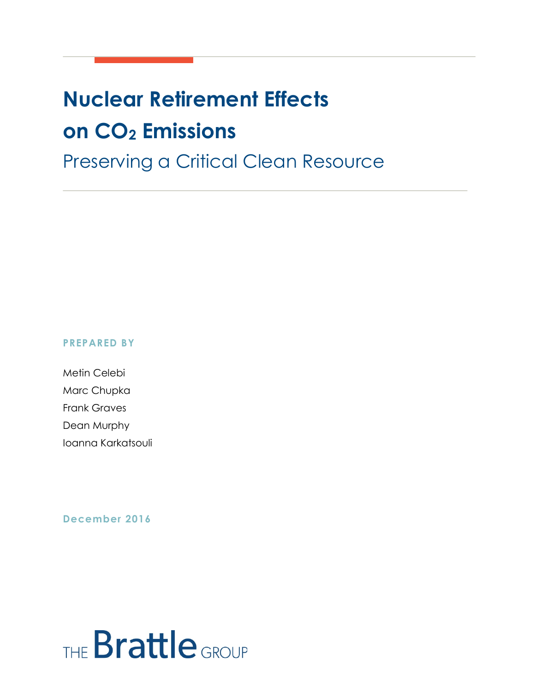## **Nuclear Retirement Effects on CO2 Emissions**

### Preserving a Critical Clean Resource

#### **PREPARED BY**

Metin Celebi Marc Chupka Frank Graves Dean Murphy Ioanna Karkatsouli

#### **December 2016**

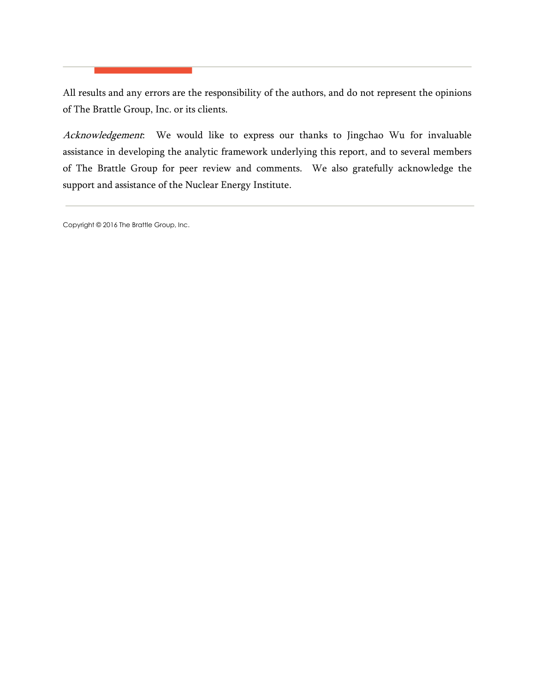All results and any errors are the responsibility of the authors, and do not represent the opinions of The Brattle Group, Inc. or its clients.

Acknowledgement: We would like to express our thanks to Jingchao Wu for invaluable assistance in developing the analytic framework underlying this report, and to several members of The Brattle Group for peer review and comments. We also gratefully acknowledge the support and assistance of the Nuclear Energy Institute.

Copyright © 2016 The Brattle Group, Inc.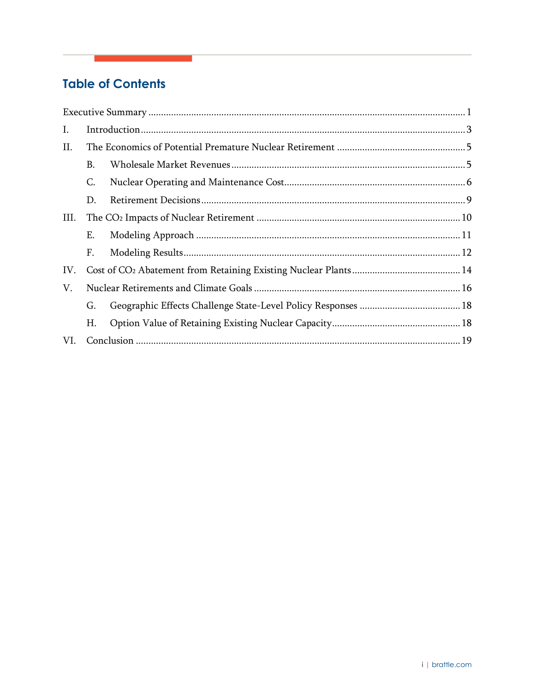#### **Table of Contents**

| Ι.   |    |  |  |
|------|----|--|--|
| П.   |    |  |  |
|      | B. |  |  |
|      | C. |  |  |
|      | D. |  |  |
| III. |    |  |  |
|      | Ε. |  |  |
|      | F. |  |  |
| IV.  |    |  |  |
| V.   |    |  |  |
|      | G. |  |  |
|      | Η. |  |  |
| VI.  |    |  |  |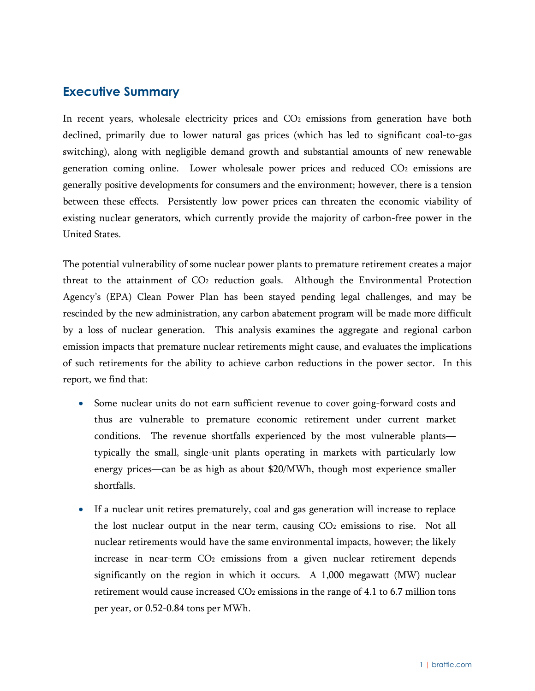#### <span id="page-3-0"></span>**Executive Summary**

In recent years, wholesale electricity prices and CO<sub>2</sub> emissions from generation have both declined, primarily due to lower natural gas prices (which has led to significant coal-to-gas switching), along with negligible demand growth and substantial amounts of new renewable generation coming online. Lower wholesale power prices and reduced CO2 emissions are generally positive developments for consumers and the environment; however, there is a tension between these effects. Persistently low power prices can threaten the economic viability of existing nuclear generators, which currently provide the majority of carbon-free power in the United States.

The potential vulnerability of some nuclear power plants to premature retirement creates a major threat to the attainment of CO2 reduction goals. Although the Environmental Protection Agency's (EPA) Clean Power Plan has been stayed pending legal challenges, and may be rescinded by the new administration, any carbon abatement program will be made more difficult by a loss of nuclear generation. This analysis examines the aggregate and regional carbon emission impacts that premature nuclear retirements might cause, and evaluates the implications of such retirements for the ability to achieve carbon reductions in the power sector. In this report, we find that:

- Some nuclear units do not earn sufficient revenue to cover going-forward costs and thus are vulnerable to premature economic retirement under current market conditions. The revenue shortfalls experienced by the most vulnerable plants typically the small, single-unit plants operating in markets with particularly low energy prices—can be as high as about \$20/MWh, though most experience smaller shortfalls.
- If a nuclear unit retires prematurely, coal and gas generation will increase to replace the lost nuclear output in the near term, causing CO2 emissions to rise. Not all nuclear retirements would have the same environmental impacts, however; the likely increase in near-term CO<sub>2</sub> emissions from a given nuclear retirement depends significantly on the region in which it occurs. A 1,000 megawatt (MW) nuclear retirement would cause increased  $CO<sub>2</sub>$  emissions in the range of 4.1 to 6.7 million tons per year, or 0.52-0.84 tons per MWh.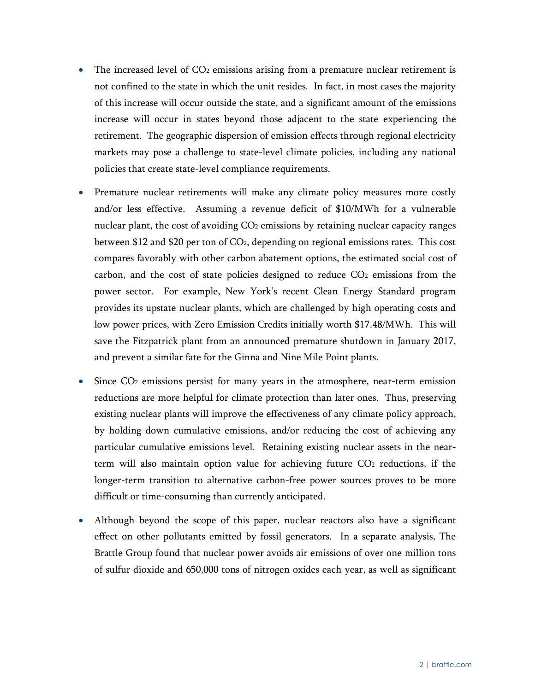- The increased level of  $CO<sub>2</sub>$  emissions arising from a premature nuclear retirement is not confined to the state in which the unit resides. In fact, in most cases the majority of this increase will occur outside the state, and a significant amount of the emissions increase will occur in states beyond those adjacent to the state experiencing the retirement. The geographic dispersion of emission effects through regional electricity markets may pose a challenge to state-level climate policies, including any national policies that create state-level compliance requirements.
- Premature nuclear retirements will make any climate policy measures more costly and/or less effective. Assuming a revenue deficit of \$10/MWh for a vulnerable nuclear plant, the cost of avoiding CO<sub>2</sub> emissions by retaining nuclear capacity ranges between \$12 and \$20 per ton of CO2, depending on regional emissions rates. This cost compares favorably with other carbon abatement options, the estimated social cost of carbon, and the cost of state policies designed to reduce  $CO<sub>2</sub>$  emissions from the power sector. For example, New York's recent Clean Energy Standard program provides its upstate nuclear plants, which are challenged by high operating costs and low power prices, with Zero Emission Credits initially worth \$17.48/MWh. This will save the Fitzpatrick plant from an announced premature shutdown in January 2017, and prevent a similar fate for the Ginna and Nine Mile Point plants.
- Since  $CO<sub>2</sub>$  emissions persist for many years in the atmosphere, near-term emission reductions are more helpful for climate protection than later ones. Thus, preserving existing nuclear plants will improve the effectiveness of any climate policy approach, by holding down cumulative emissions, and/or reducing the cost of achieving any particular cumulative emissions level. Retaining existing nuclear assets in the nearterm will also maintain option value for achieving future CO<sub>2</sub> reductions, if the longer-term transition to alternative carbon-free power sources proves to be more difficult or time-consuming than currently anticipated.
- Although beyond the scope of this paper, nuclear reactors also have a significant effect on other pollutants emitted by fossil generators. In a separate analysis, The Brattle Group found that nuclear power avoids air emissions of over one million tons of sulfur dioxide and 650,000 tons of nitrogen oxides each year, as well as significant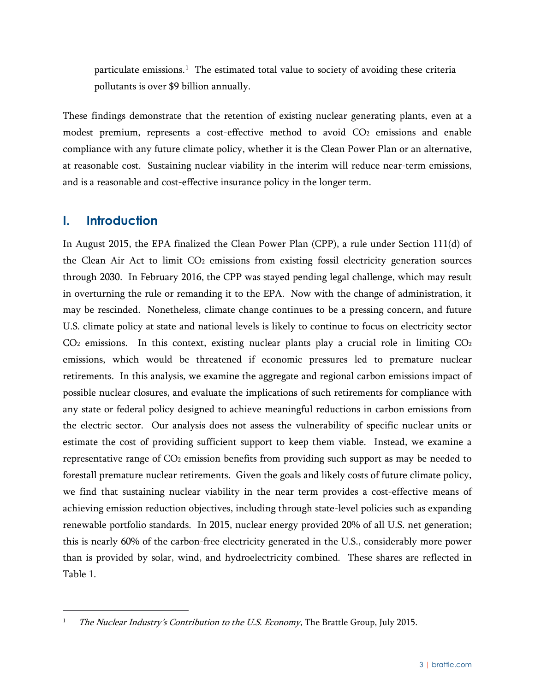particulate emissions.<sup>1</sup> The estimated total value to society of avoiding these criteria pollutants is over \$9 billion annually.

These findings demonstrate that the retention of existing nuclear generating plants, even at a modest premium, represents a cost-effective method to avoid CO2 emissions and enable compliance with any future climate policy, whether it is the Clean Power Plan or an alternative, at reasonable cost. Sustaining nuclear viability in the interim will reduce near-term emissions, and is a reasonable and cost-effective insurance policy in the longer term.

#### <span id="page-5-0"></span>**I. Introduction**

In August 2015, the EPA finalized the Clean Power Plan (CPP), a rule under Section 111(d) of the Clean Air Act to limit  $CO<sub>2</sub>$  emissions from existing fossil electricity generation sources through 2030. In February 2016, the CPP was stayed pending legal challenge, which may result in overturning the rule or remanding it to the EPA. Now with the change of administration, it may be rescinded. Nonetheless, climate change continues to be a pressing concern, and future U.S. climate policy at state and national levels is likely to continue to focus on electricity sector  $CO<sub>2</sub>$  emissions. In this context, existing nuclear plants play a crucial role in limiting  $CO<sub>2</sub>$ emissions, which would be threatened if economic pressures led to premature nuclear retirements. In this analysis, we examine the aggregate and regional carbon emissions impact of possible nuclear closures, and evaluate the implications of such retirements for compliance with any state or federal policy designed to achieve meaningful reductions in carbon emissions from the electric sector. Our analysis does not assess the vulnerability of specific nuclear units or estimate the cost of providing sufficient support to keep them viable. Instead, we examine a representative range of CO2 emission benefits from providing such support as may be needed to forestall premature nuclear retirements. Given the goals and likely costs of future climate policy, we find that sustaining nuclear viability in the near term provides a cost-effective means of achieving emission reduction objectives, including through state-level policies such as expanding renewable portfolio standards. In 2015, nuclear energy provided 20% of all U.S. net generation; this is nearly 60% of the carbon-free electricity generated in the U.S., considerably more power than is provided by solar, wind, and hydroelectricity combined. These shares are reflected in [Table 1.](#page-6-0)

<span id="page-5-1"></span>The Nuclear Industry's Contribution to the U.S. Economy, The Brattle Group, July 2015.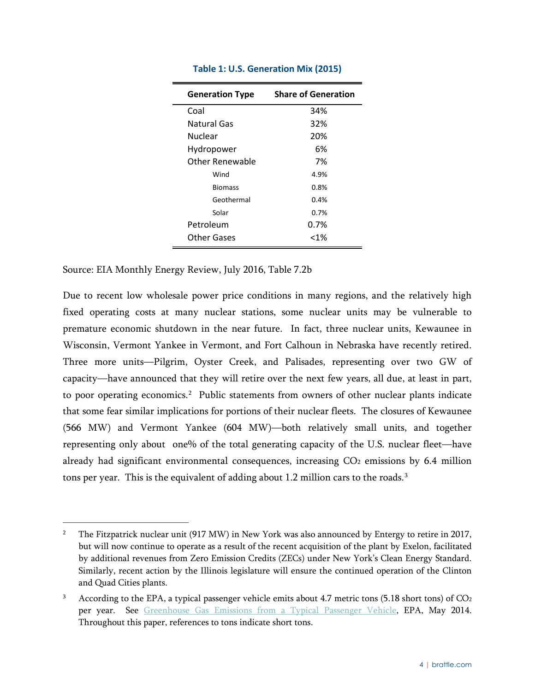<span id="page-6-0"></span>

| <b>Generation Type</b> | <b>Share of Generation</b> |
|------------------------|----------------------------|
| Coal                   | 34%                        |
| Natural Gas            | 32%                        |
| Nuclear                | 20%                        |
| Hydropower             | 6%                         |
| Other Renewable        | 7%                         |
| Wind                   | 4.9%                       |
| <b>Biomass</b>         | 0.8%                       |
| Geothermal             | 0.4%                       |
| Solar                  | 0.7%                       |
| Petroleum              | 0.7%                       |
| <b>Other Gases</b>     | $< 1\%$                    |

#### **Table 1: U.S. Generation Mix (2015)**

Source: EIA Monthly Energy Review, July 2016, Table 7.2b

Due to recent low wholesale power price conditions in many regions, and the relatively high fixed operating costs at many nuclear stations, some nuclear units may be vulnerable to premature economic shutdown in the near future. In fact, three nuclear units, Kewaunee in Wisconsin, Vermont Yankee in Vermont, and Fort Calhoun in Nebraska have recently retired. Three more units—Pilgrim, Oyster Creek, and Palisades, representing over two GW of capacity—have announced that they will retire over the next few years, all due, at least in part, to poor operating economics.<sup>[2](#page-6-1)</sup> Public statements from owners of other nuclear plants indicate that some fear similar implications for portions of their nuclear fleets. The closures of Kewaunee (566 MW) and Vermont Yankee (604 MW)—both relatively small units, and together representing only about one% of the total generating capacity of the U.S. nuclear fleet—have already had significant environmental consequences, increasing CO<sub>2</sub> emissions by 6.4 million tons per year. This is the equivalent of adding about 1.2 million cars to the roads.<sup>[3](#page-6-2)</sup>

<span id="page-6-1"></span><sup>&</sup>lt;sup>2</sup> The Fitzpatrick nuclear unit (917 MW) in New York was also announced by Entergy to retire in 2017, but will now continue to operate as a result of the recent acquisition of the plant by Exelon, facilitated by additional revenues from Zero Emission Credits (ZECs) under New York's Clean Energy Standard. Similarly, recent action by the Illinois legislature will ensure the continued operation of the Clinton and Quad Cities plants.

<span id="page-6-2"></span> $3$  According to the EPA, a typical passenger vehicle emits about 4.7 metric tons (5.18 short tons) of CO<sub>2</sub> per year. See [Greenhouse Gas Emissions from a Typical Passenger Vehicle,](https://www.epa.gov/sites/production/files/2016-02/documents/420f14040a.pdf) EPA, May 2014. Throughout this paper, references to tons indicate short tons.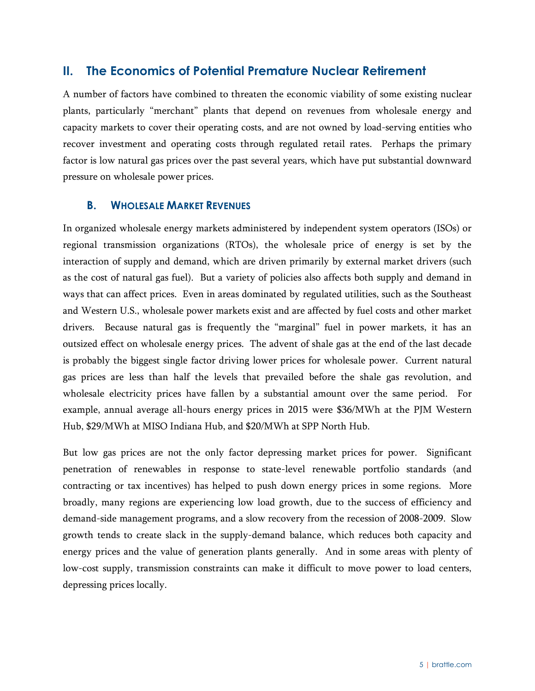#### <span id="page-7-0"></span>**II. The Economics of Potential Premature Nuclear Retirement**

A number of factors have combined to threaten the economic viability of some existing nuclear plants, particularly "merchant" plants that depend on revenues from wholesale energy and capacity markets to cover their operating costs, and are not owned by load-serving entities who recover investment and operating costs through regulated retail rates. Perhaps the primary factor is low natural gas prices over the past several years, which have put substantial downward pressure on wholesale power prices.

#### <span id="page-7-1"></span>**B. WHOLESALE MARKET REVENUES**

In organized wholesale energy markets administered by independent system operators (ISOs) or regional transmission organizations (RTOs), the wholesale price of energy is set by the interaction of supply and demand, which are driven primarily by external market drivers (such as the cost of natural gas fuel). But a variety of policies also affects both supply and demand in ways that can affect prices. Even in areas dominated by regulated utilities, such as the Southeast and Western U.S., wholesale power markets exist and are affected by fuel costs and other market drivers. Because natural gas is frequently the "marginal" fuel in power markets, it has an outsized effect on wholesale energy prices. The advent of shale gas at the end of the last decade is probably the biggest single factor driving lower prices for wholesale power. Current natural gas prices are less than half the levels that prevailed before the shale gas revolution, and wholesale electricity prices have fallen by a substantial amount over the same period. For example, annual average all-hours energy prices in 2015 were \$36/MWh at the PJM Western Hub, \$29/MWh at MISO Indiana Hub, and \$20/MWh at SPP North Hub.

But low gas prices are not the only factor depressing market prices for power. Significant penetration of renewables in response to state-level renewable portfolio standards (and contracting or tax incentives) has helped to push down energy prices in some regions. More broadly, many regions are experiencing low load growth, due to the success of efficiency and demand-side management programs, and a slow recovery from the recession of 2008-2009. Slow growth tends to create slack in the supply-demand balance, which reduces both capacity and energy prices and the value of generation plants generally. And in some areas with plenty of low-cost supply, transmission constraints can make it difficult to move power to load centers, depressing prices locally.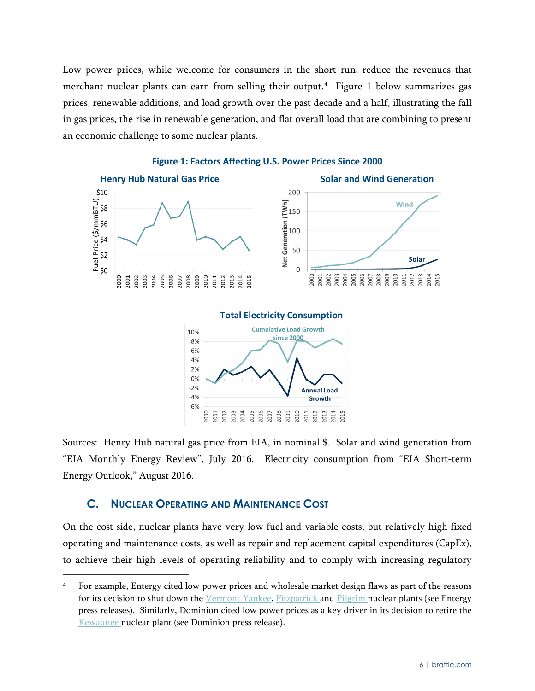Low power prices, while welcome for consumers in the short run, reduce the revenues that merchant nuclear plants can earn from selling their output.<sup>4</sup> [Figure 1](#page-8-1) below summarizes gas prices, renewable additions, and load growth over the past decade and a half, illustrating the fall in gas prices, the rise in renewable generation, and flat overall load that are combining to present an economic challenge to some nuclear plants.

<span id="page-8-1"></span>

#### **Figure 1: Factors Affecting U.S. Power Prices Since 2000**

**Total Electricity Consumption Cumulative Load Growth** since 2000



Sources: Henry Hub natural gas price from EIA, in nominal \$. Solar and wind generation from "EIA Monthly Energy Review", July 2016. Electricity consumption from "EIA Short-term Energy Outlook," August 2016.

#### <span id="page-8-0"></span>**C. NUCLEAR OPERATING AND MAINTENANCE COST**

On the cost side, nuclear plants have very low fuel and variable costs, but relatively high fixed operating and maintenance costs, as well as repair and replacement capital expenditures (CapEx), to achieve their high levels of operating reliability and to comply with increasing regulatory

<span id="page-8-2"></span> <sup>4</sup> For example, Entergy cited low power prices and wholesale market design flaws as part of the reasons for its decision to shut down the [Vermont Yankee,](http://www.entergy.com/news_room/newsrelease.aspx?NR_ID=2769) [Fitzpatrick a](http://www.entergynewsroom.com/latest-news/entergy-close-jamesfitzpatrick-nuclear-power-plant-central-new-york/)nd [Pilgrim n](http://www.entergynewsroom.com/latest-news/entergy-close-pilgrim-nuclear-power-station-massachusetts-no-later-than-june2019/)uclear plants (see Entergy press releases). Similarly, Dominion cited low power prices as a key driver in its decision to retire the [Kewaunee n](http://dom.mediaroom.com/2012-10-22-Dominion-To-Close-Decommission-Kewaunee-Power-Station)uclear plant (see Dominion press release).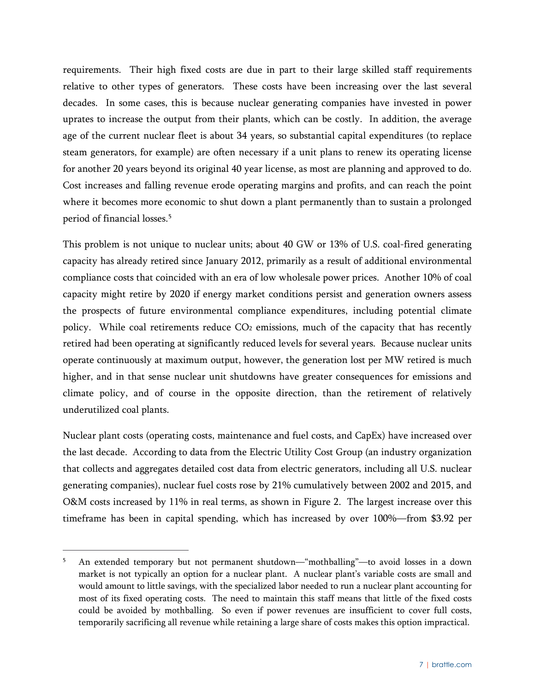requirements. Their high fixed costs are due in part to their large skilled staff requirements relative to other types of generators. These costs have been increasing over the last several decades. In some cases, this is because nuclear generating companies have invested in power uprates to increase the output from their plants, which can be costly. In addition, the average age of the current nuclear fleet is about 34 years, so substantial capital expenditures (to replace steam generators, for example) are often necessary if a unit plans to renew its operating license for another 20 years beyond its original 40 year license, as most are planning and approved to do. Cost increases and falling revenue erode operating margins and profits, and can reach the point where it becomes more economic to shut down a plant permanently than to sustain a prolonged period of financial losses.[5](#page-9-0)

This problem is not unique to nuclear units; about 40 GW or 13% of U.S. coal-fired generating capacity has already retired since January 2012, primarily as a result of additional environmental compliance costs that coincided with an era of low wholesale power prices. Another 10% of coal capacity might retire by 2020 if energy market conditions persist and generation owners assess the prospects of future environmental compliance expenditures, including potential climate policy. While coal retirements reduce CO<sub>2</sub> emissions, much of the capacity that has recently retired had been operating at significantly reduced levels for several years. Because nuclear units operate continuously at maximum output, however, the generation lost per MW retired is much higher, and in that sense nuclear unit shutdowns have greater consequences for emissions and climate policy, and of course in the opposite direction, than the retirement of relatively underutilized coal plants.

Nuclear plant costs (operating costs, maintenance and fuel costs, and CapEx) have increased over the last decade. According to data from the Electric Utility Cost Group (an industry organization that collects and aggregates detailed cost data from electric generators, including all U.S. nuclear generating companies), nuclear fuel costs rose by 21% cumulatively between 2002 and 2015, and O&M costs increased by 11% in real terms, as shown in [Figure 2.](#page-10-0) The largest increase over this timeframe has been in capital spending, which has increased by over 100%—from \$3.92 per

<span id="page-9-0"></span> <sup>5</sup> An extended temporary but not permanent shutdown—"mothballing"—to avoid losses in a down market is not typically an option for a nuclear plant. A nuclear plant's variable costs are small and would amount to little savings, with the specialized labor needed to run a nuclear plant accounting for most of its fixed operating costs. The need to maintain this staff means that little of the fixed costs could be avoided by mothballing. So even if power revenues are insufficient to cover full costs, temporarily sacrificing all revenue while retaining a large share of costs makes this option impractical.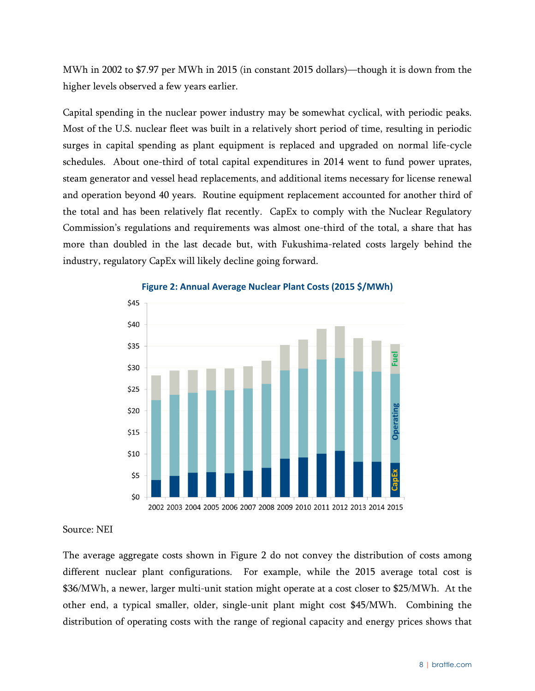MWh in 2002 to \$7.97 per MWh in 2015 (in constant 2015 dollars)—though it is down from the higher levels observed a few years earlier.

Capital spending in the nuclear power industry may be somewhat cyclical, with periodic peaks. Most of the U.S. nuclear fleet was built in a relatively short period of time, resulting in periodic surges in capital spending as plant equipment is replaced and upgraded on normal life-cycle schedules. About one-third of total capital expenditures in 2014 went to fund power uprates, steam generator and vessel head replacements, and additional items necessary for license renewal and operation beyond 40 years. Routine equipment replacement accounted for another third of the total and has been relatively flat recently. CapEx to comply with the Nuclear Regulatory Commission's regulations and requirements was almost one-third of the total, a share that has more than doubled in the last decade but, with Fukushima-related costs largely behind the industry, regulatory CapEx will likely decline going forward.

<span id="page-10-0"></span>

#### **Figure 2: Annual Average Nuclear Plant Costs (2015 \$/MWh)**

#### Source: NEI

The average aggregate costs shown in [Figure 2](#page-10-0) do not convey the distribution of costs among different nuclear plant configurations. For example, while the 2015 average total cost is \$36/MWh, a newer, larger multi-unit station might operate at a cost closer to \$25/MWh. At the other end, a typical smaller, older, single-unit plant might cost \$45/MWh. Combining the distribution of operating costs with the range of regional capacity and energy prices shows that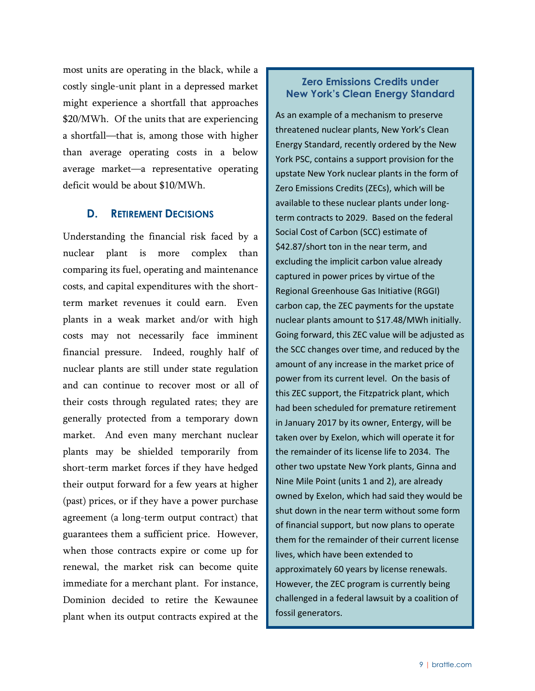most units are operating in the black, while a costly single-unit plant in a depressed market might experience a shortfall that approaches \$20/MWh. Of the units that are experiencing a shortfall—that is, among those with higher than average operating costs in a below average market—a representative operating deficit would be about \$10/MWh.

#### <span id="page-11-0"></span>**D. RETIREMENT DECISIONS**

Understanding the financial risk faced by a nuclear plant is more complex than comparing its fuel, operating and maintenance costs, and capital expenditures with the shortterm market revenues it could earn. Even plants in a weak market and/or with high costs may not necessarily face imminent financial pressure. Indeed, roughly half of nuclear plants are still under state regulation and can continue to recover most or all of their costs through regulated rates; they are generally protected from a temporary down market. And even many merchant nuclear plants may be shielded temporarily from short-term market forces if they have hedged their output forward for a few years at higher (past) prices, or if they have a power purchase agreement (a long-term output contract) that guarantees them a sufficient price. However, when those contracts expire or come up for renewal, the market risk can become quite immediate for a merchant plant. For instance, Dominion decided to retire the Kewaunee plant when its output contracts expired at the

#### **Zero Emissions Credits under New York's Clean Energy Standard**

As an example of a mechanism to preserve threatened nuclear plants, New York's Clean Energy Standard, recently ordered by the New York PSC, contains a support provision for the upstate New York nuclear plants in the form of Zero Emissions Credits (ZECs), which will be available to these nuclear plants under longterm contracts to 2029. Based on the federal Social Cost of Carbon (SCC) estimate of \$42.87/short ton in the near term, and excluding the implicit carbon value already captured in power prices by virtue of the Regional Greenhouse Gas Initiative (RGGI) carbon cap, the ZEC payments for the upstate nuclear plants amount to \$17.48/MWh initially. Going forward, this ZEC value will be adjusted as the SCC changes over time, and reduced by the amount of any increase in the market price of power from its current level. On the basis of this ZEC support, the Fitzpatrick plant, which had been scheduled for premature retirement in January 2017 by its owner, Entergy, will be taken over by Exelon, which will operate it for the remainder of its license life to 2034. The other two upstate New York plants, Ginna and Nine Mile Point (units 1 and 2), are already owned by Exelon, which had said they would be shut down in the near term without some form of financial support, but now plans to operate them for the remainder of their current license lives, which have been extended to approximately 60 years by license renewals. However, the ZEC program is currently being challenged in a federal lawsuit by a coalition of fossil generators.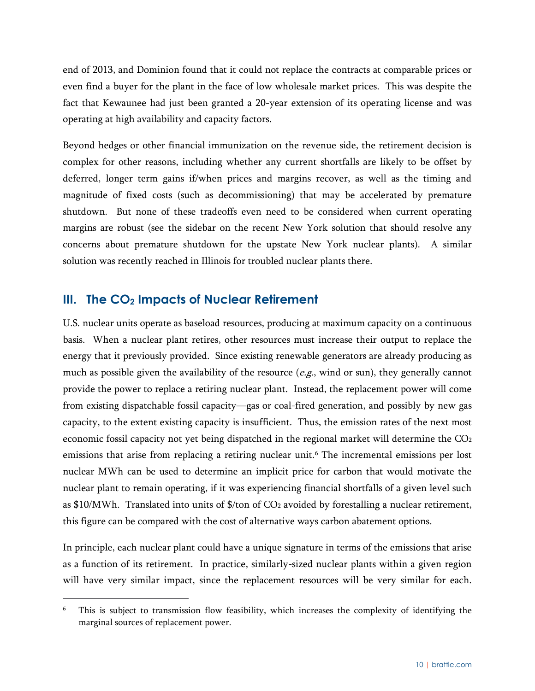end of 2013, and Dominion found that it could not replace the contracts at comparable prices or even find a buyer for the plant in the face of low wholesale market prices. This was despite the fact that Kewaunee had just been granted a 20-year extension of its operating license and was operating at high availability and capacity factors.

Beyond hedges or other financial immunization on the revenue side, the retirement decision is complex for other reasons, including whether any current shortfalls are likely to be offset by deferred, longer term gains if/when prices and margins recover, as well as the timing and magnitude of fixed costs (such as decommissioning) that may be accelerated by premature shutdown. But none of these tradeoffs even need to be considered when current operating margins are robust (see the sidebar on the recent New York solution that should resolve any concerns about premature shutdown for the upstate New York nuclear plants). A similar solution was recently reached in Illinois for troubled nuclear plants there.

#### <span id="page-12-0"></span>**III. The CO2 Impacts of Nuclear Retirement**

U.S. nuclear units operate as baseload resources, producing at maximum capacity on a continuous basis. When a nuclear plant retires, other resources must increase their output to replace the energy that it previously provided. Since existing renewable generators are already producing as much as possible given the availability of the resource  $(e.g.,$  wind or sun), they generally cannot provide the power to replace a retiring nuclear plant. Instead, the replacement power will come from existing dispatchable fossil capacity—gas or coal-fired generation, and possibly by new gas capacity, to the extent existing capacity is insufficient. Thus, the emission rates of the next most economic fossil capacity not yet being dispatched in the regional market will determine the CO2 emissions that arise from replacing a retiring nuclear unit. [6](#page-12-1) The incremental emissions per lost nuclear MWh can be used to determine an implicit price for carbon that would motivate the nuclear plant to remain operating, if it was experiencing financial shortfalls of a given level such as  $$10/MWh$ . Translated into units of  $$/ton$  of CO<sub>2</sub> avoided by forestalling a nuclear retirement, this figure can be compared with the cost of alternative ways carbon abatement options.

In principle, each nuclear plant could have a unique signature in terms of the emissions that arise as a function of its retirement. In practice, similarly-sized nuclear plants within a given region will have very similar impact, since the replacement resources will be very similar for each.

<span id="page-12-1"></span><sup>&</sup>lt;sup>6</sup> This is subject to transmission flow feasibility, which increases the complexity of identifying the marginal sources of replacement power.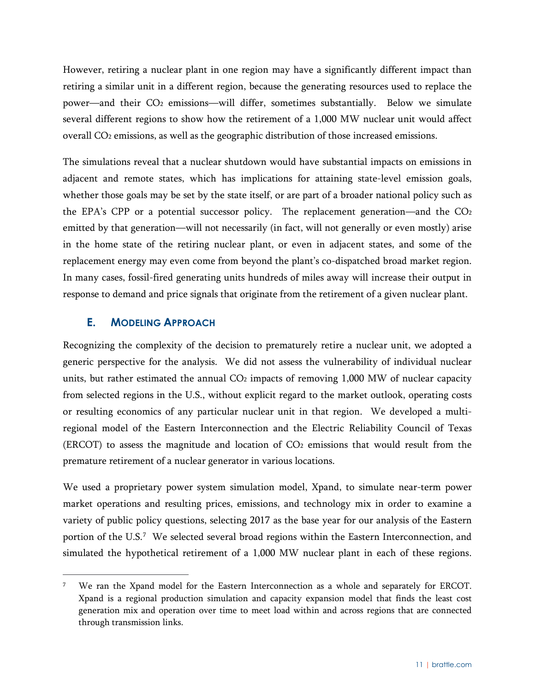However, retiring a nuclear plant in one region may have a significantly different impact than retiring a similar unit in a different region, because the generating resources used to replace the power—and their CO2 emissions—will differ, sometimes substantially. Below we simulate several different regions to show how the retirement of a 1,000 MW nuclear unit would affect overall CO2 emissions, as well as the geographic distribution of those increased emissions.

The simulations reveal that a nuclear shutdown would have substantial impacts on emissions in adjacent and remote states, which has implications for attaining state-level emission goals, whether those goals may be set by the state itself, or are part of a broader national policy such as the EPA's CPP or a potential successor policy. The replacement generation—and the CO2 emitted by that generation—will not necessarily (in fact, will not generally or even mostly) arise in the home state of the retiring nuclear plant, or even in adjacent states, and some of the replacement energy may even come from beyond the plant's co-dispatched broad market region. In many cases, fossil-fired generating units hundreds of miles away will increase their output in response to demand and price signals that originate from the retirement of a given nuclear plant.

#### <span id="page-13-0"></span>**E. MODELING APPROACH**

Recognizing the complexity of the decision to prematurely retire a nuclear unit, we adopted a generic perspective for the analysis. We did not assess the vulnerability of individual nuclear units, but rather estimated the annual  $CO<sub>2</sub>$  impacts of removing 1,000 MW of nuclear capacity from selected regions in the U.S., without explicit regard to the market outlook, operating costs or resulting economics of any particular nuclear unit in that region. We developed a multiregional model of the Eastern Interconnection and the Electric Reliability Council of Texas  $(ERCOT)$  to assess the magnitude and location of  $CO<sub>2</sub>$  emissions that would result from the premature retirement of a nuclear generator in various locations.

We used a proprietary power system simulation model, Xpand, to simulate near-term power market operations and resulting prices, emissions, and technology mix in order to examine a variety of public policy questions, selecting 2017 as the base year for our analysis of the Eastern portion of the U.S. [7](#page-13-1) We selected several broad regions within the Eastern Interconnection, and simulated the hypothetical retirement of a 1,000 MW nuclear plant in each of these regions.

<span id="page-13-1"></span><sup>&</sup>lt;sup>7</sup> We ran the Xpand model for the Eastern Interconnection as a whole and separately for ERCOT. Xpand is a regional production simulation and capacity expansion model that finds the least cost generation mix and operation over time to meet load within and across regions that are connected through transmission links.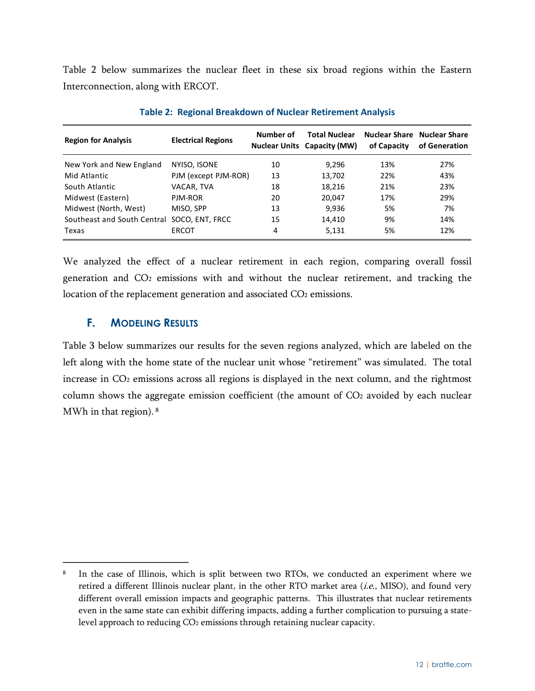[Table 2](#page-14-1) below summarizes the nuclear fleet in these six broad regions within the Eastern Interconnection, along with ERCOT.

<span id="page-14-1"></span>

| <b>Region for Analysis</b>                  | <b>Electrical Regions</b> | Number of | <b>Total Nuclear</b><br><b>Nuclear Units Capacity (MW)</b> | of Capacity | <b>Nuclear Share Nuclear Share</b><br>of Generation |
|---------------------------------------------|---------------------------|-----------|------------------------------------------------------------|-------------|-----------------------------------------------------|
| New York and New England                    | NYISO, ISONE              | 10        | 9,296                                                      | 13%         | 27%                                                 |
| Mid Atlantic                                | PJM (except PJM-ROR)      | 13        | 13,702                                                     | 22%         | 43%                                                 |
| South Atlantic                              | VACAR, TVA                | 18        | 18,216                                                     | 21%         | 23%                                                 |
| Midwest (Eastern)                           | PJM-ROR                   | 20        | 20,047                                                     | 17%         | 29%                                                 |
| Midwest (North, West)                       | MISO, SPP                 | 13        | 9,936                                                      | 5%          | 7%                                                  |
| Southeast and South Central SOCO, ENT. FRCC |                           | 15        | 14,410                                                     | 9%          | 14%                                                 |
| Texas                                       | <b>ERCOT</b>              | 4         | 5,131                                                      | 5%          | 12%                                                 |

**Table 2: Regional Breakdown of Nuclear Retirement Analysis**

We analyzed the effect of a nuclear retirement in each region, comparing overall fossil generation and CO2 emissions with and without the nuclear retirement, and tracking the location of the replacement generation and associated CO<sub>2</sub> emissions.

#### <span id="page-14-0"></span>**F. MODELING RESULTS**

[Table 3](#page-15-0) below summarizes our results for the seven regions analyzed, which are labeled on the left along with the home state of the nuclear unit whose "retirement" was simulated. The total increase in CO<sub>2</sub> emissions across all regions is displayed in the next column, and the rightmost column shows the aggregate emission coefficient (the amount of CO<sub>2</sub> avoided by each nuclear MWh in that region). [8](#page-14-2)

<span id="page-14-2"></span><sup>&</sup>lt;sup>8</sup> In the case of Illinois, which is split between two RTOs, we conducted an experiment where we retired a different Illinois nuclear plant, in the other RTO market area  $(i.e., MISO)$ , and found very different overall emission impacts and geographic patterns. This illustrates that nuclear retirements even in the same state can exhibit differing impacts, adding a further complication to pursuing a statelevel approach to reducing CO<sub>2</sub> emissions through retaining nuclear capacity.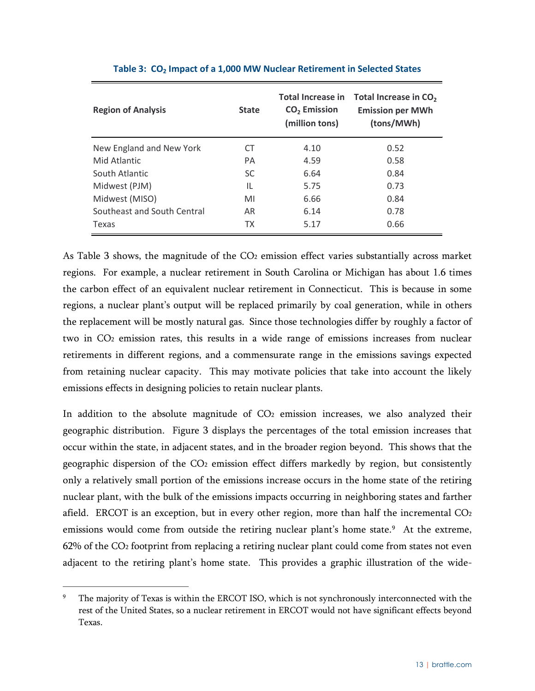<span id="page-15-0"></span>

| <b>Region of Analysis</b>   | <b>State</b> | <b>Total Increase in</b><br>CO <sub>2</sub> Emission<br>(million tons) | Total Increase in CO <sub>2</sub><br><b>Emission per MWh</b><br>(tons/MWh) |
|-----------------------------|--------------|------------------------------------------------------------------------|----------------------------------------------------------------------------|
| New England and New York    | CT           | 4.10                                                                   | 0.52                                                                       |
| Mid Atlantic                | PA           | 4.59                                                                   | 0.58                                                                       |
| South Atlantic              | SC.          | 6.64                                                                   | 0.84                                                                       |
| Midwest (PJM)               | IL           | 5.75                                                                   | 0.73                                                                       |
| Midwest (MISO)              | MI           | 6.66                                                                   | 0.84                                                                       |
| Southeast and South Central | AR.          | 6.14                                                                   | 0.78                                                                       |
| Texas                       | ТX           | 5.17                                                                   | 0.66                                                                       |

#### **Table 3: CO2 Impact of a 1,000 MW Nuclear Retirement in Selected States**

As [Table 3](#page-15-0) shows, the magnitude of the  $CO<sub>2</sub>$  emission effect varies substantially across market regions. For example, a nuclear retirement in South Carolina or Michigan has about 1.6 times the carbon effect of an equivalent nuclear retirement in Connecticut. This is because in some regions, a nuclear plant's output will be replaced primarily by coal generation, while in others the replacement will be mostly natural gas. Since those technologies differ by roughly a factor of two in CO2 emission rates, this results in a wide range of emissions increases from nuclear retirements in different regions, and a commensurate range in the emissions savings expected from retaining nuclear capacity. This may motivate policies that take into account the likely emissions effects in designing policies to retain nuclear plants.

In addition to the absolute magnitude of  $CO<sub>2</sub>$  emission increases, we also analyzed their geographic distribution. [Figure 3](#page-16-1) displays the percentages of the total emission increases that occur within the state, in adjacent states, and in the broader region beyond. This shows that the geographic dispersion of the CO2 emission effect differs markedly by region, but consistently only a relatively small portion of the emissions increase occurs in the home state of the retiring nuclear plant, with the bulk of the emissions impacts occurring in neighboring states and farther afield. ERCOT is an exception, but in every other region, more than half the incremental CO<sub>2</sub> emissions would come from outside the retiring nuclear plant's home state.<sup>[9](#page-15-1)</sup> At the extreme, 62% of the CO2 footprint from replacing a retiring nuclear plant could come from states not even adjacent to the retiring plant's home state. This provides a graphic illustration of the wide-

<span id="page-15-1"></span>The majority of Texas is within the ERCOT ISO, which is not synchronously interconnected with the rest of the United States, so a nuclear retirement in ERCOT would not have significant effects beyond Texas.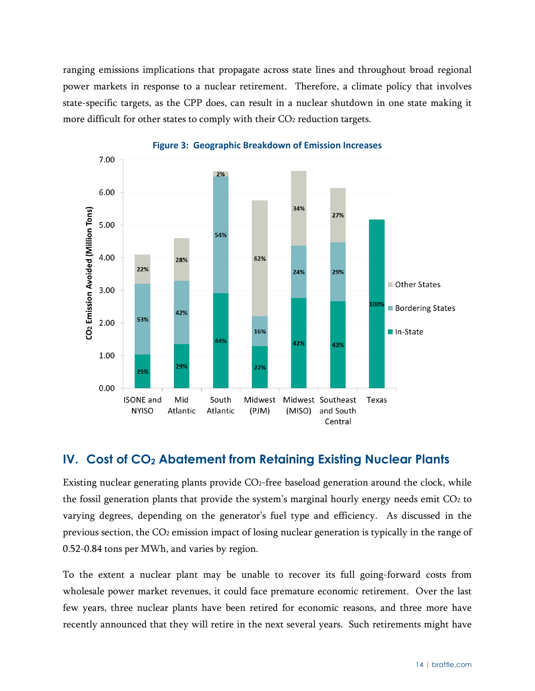ranging emissions implications that propagate across state lines and throughout broad regional power markets in response to a nuclear retirement. Therefore, a climate policy that involves state-specific targets, as the CPP does, can result in a nuclear shutdown in one state making it more difficult for other states to comply with their CO<sub>2</sub> reduction targets.

<span id="page-16-1"></span>

**Figure 3: Geographic Breakdown of Emission Increases**

#### <span id="page-16-0"></span>**IV. Cost of CO2 Abatement from Retaining Existing Nuclear Plants**

Existing nuclear generating plants provide CO2-free baseload generation around the clock, while the fossil generation plants that provide the system's marginal hourly energy needs emit CO2 to varying degrees, depending on the generator's fuel type and efficiency. As discussed in the previous section, the CO2 emission impact of losing nuclear generation is typically in the range of 0.52-0.84 tons per MWh, and varies by region.

To the extent a nuclear plant may be unable to recover its full going-forward costs from wholesale power market revenues, it could face premature economic retirement. Over the last few years, three nuclear plants have been retired for economic reasons, and three more have recently announced that they will retire in the next several years. Such retirements might have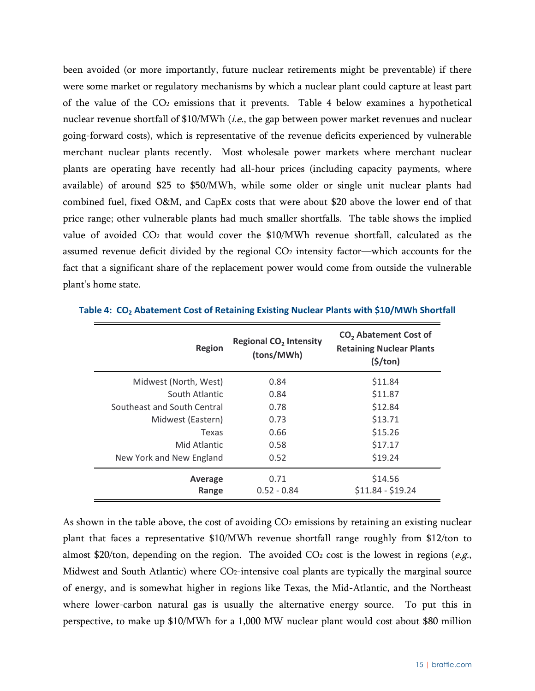been avoided (or more importantly, future nuclear retirements might be preventable) if there were some market or regulatory mechanisms by which a nuclear plant could capture at least part of the value of the CO2 emissions that it prevents. [Table 4](#page-17-0) below examines a hypothetical nuclear revenue shortfall of \$10/MWh (i.e., the gap between power market revenues and nuclear going-forward costs), which is representative of the revenue deficits experienced by vulnerable merchant nuclear plants recently. Most wholesale power markets where merchant nuclear plants are operating have recently had all-hour prices (including capacity payments, where available) of around \$25 to \$50/MWh, while some older or single unit nuclear plants had combined fuel, fixed O&M, and CapEx costs that were about \$20 above the lower end of that price range; other vulnerable plants had much smaller shortfalls. The table shows the implied value of avoided CO2 that would cover the \$10/MWh revenue shortfall, calculated as the assumed revenue deficit divided by the regional  $CO<sub>2</sub>$  intensity factor—which accounts for the fact that a significant share of the replacement power would come from outside the vulnerable plant's home state.

| <b>Region</b>               | <b>Regional CO<sub>2</sub></b> Intensity<br>(tons/MWh) | CO <sub>2</sub> Abatement Cost of<br><b>Retaining Nuclear Plants</b><br>$(\frac{1}{2})$ |
|-----------------------------|--------------------------------------------------------|-----------------------------------------------------------------------------------------|
| Midwest (North, West)       | 0.84                                                   | \$11.84                                                                                 |
| South Atlantic              | 0.84                                                   | \$11.87                                                                                 |
| Southeast and South Central | 0.78                                                   | \$12.84                                                                                 |
| Midwest (Eastern)           | 0.73                                                   | \$13.71                                                                                 |
| Texas                       | 0.66                                                   | \$15.26                                                                                 |
| Mid Atlantic                | 0.58                                                   | \$17.17                                                                                 |
| New York and New England    | 0.52                                                   | \$19.24                                                                                 |
| Average<br>Range            | 0.71<br>$0.52 - 0.84$                                  | \$14.56<br>$$11.84 - $19.24$                                                            |

<span id="page-17-0"></span>**Table 4: CO2 Abatement Cost of Retaining Existing Nuclear Plants with \$10/MWh Shortfall**

As shown in the table above, the cost of avoiding  $CO<sub>2</sub>$  emissions by retaining an existing nuclear plant that faces a representative \$10/MWh revenue shortfall range roughly from \$12/ton to almost \$20/ton, depending on the region. The avoided  $CO<sub>2</sub>$  cost is the lowest in regions (e.g., Midwest and South Atlantic) where  $CO<sub>2</sub>$ -intensive coal plants are typically the marginal source of energy, and is somewhat higher in regions like Texas, the Mid-Atlantic, and the Northeast where lower-carbon natural gas is usually the alternative energy source. To put this in perspective, to make up \$10/MWh for a 1,000 MW nuclear plant would cost about \$80 million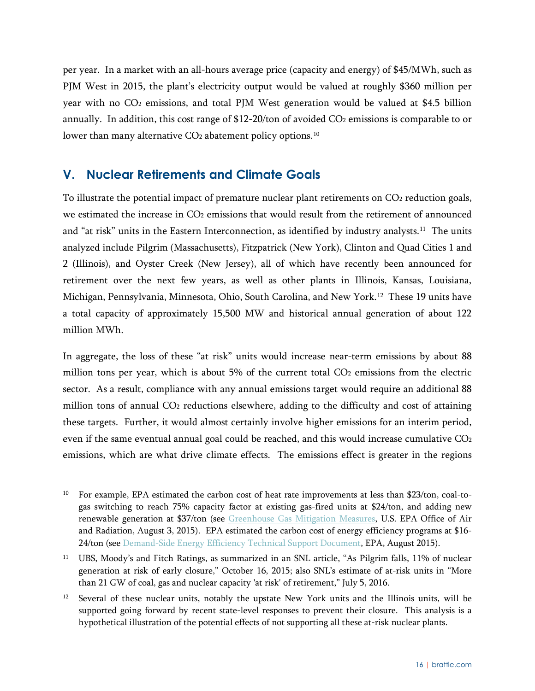per year. In a market with an all-hours average price (capacity and energy) of \$45/MWh, such as PJM West in 2015, the plant's electricity output would be valued at roughly \$360 million per year with no CO2 emissions, and total PJM West generation would be valued at \$4.5 billion annually. In addition, this cost range of \$12-20/ton of avoided CO<sub>2</sub> emissions is comparable to or lower than many alternative  $CO<sub>2</sub>$  abatement policy options.<sup>[10](#page-18-1)</sup>

#### <span id="page-18-0"></span>**V. Nuclear Retirements and Climate Goals**

To illustrate the potential impact of premature nuclear plant retirements on CO<sub>2</sub> reduction goals, we estimated the increase in CO2 emissions that would result from the retirement of announced and "at risk" units in the Eastern Interconnection, as identified by industry analysts.<sup>[11](#page-18-2)</sup> The units analyzed include Pilgrim (Massachusetts), Fitzpatrick (New York), Clinton and Quad Cities 1 and 2 (Illinois), and Oyster Creek (New Jersey), all of which have recently been announced for retirement over the next few years, as well as other plants in Illinois, Kansas, Louisiana, Michigan, Pennsylvania, Minnesota, Ohio, South Carolina, and New York.[12](#page-18-3) These 19 units have a total capacity of approximately 15,500 MW and historical annual generation of about 122 million MWh.

In aggregate, the loss of these "at risk" units would increase near-term emissions by about 88 million tons per year, which is about  $5%$  of the current total  $CO<sub>2</sub>$  emissions from the electric sector. As a result, compliance with any annual emissions target would require an additional 88 million tons of annual CO2 reductions elsewhere, adding to the difficulty and cost of attaining these targets. Further, it would almost certainly involve higher emissions for an interim period, even if the same eventual annual goal could be reached, and this would increase cumulative CO<sub>2</sub> emissions, which are what drive climate effects. The emissions effect is greater in the regions

<span id="page-18-1"></span><sup>&</sup>lt;sup>10</sup> For example, EPA estimated the carbon cost of heat rate improvements at less than \$23/ton, coal-togas switching to reach 75% capacity factor at existing gas-fired units at \$24/ton, and adding new renewable generation at \$37/ton (see [Greenhouse Gas Mitigation Measures,](https://www.epa.gov/sites/production/files/2015-11/documents/tsd-cpp-ghg-mitigation-measures.pdf) U.S. EPA Office of Air and Radiation, August 3, 2015). EPA estimated the carbon cost of energy efficiency programs at \$16 24/ton (se[e Demand-Side Energy Efficiency Technical Support Document,](https://www.epa.gov/sites/production/files/2015-11/documents/tsd-cpp-demand-side-ee.pdf) EPA, August 2015).

<span id="page-18-2"></span><sup>&</sup>lt;sup>11</sup> UBS, Moody's and Fitch Ratings, as summarized in an SNL article, "As Pilgrim falls, 11% of nuclear generation at risk of early closure," October 16, 2015; also SNL's estimate of at-risk units in "More than 21 GW of coal, gas and nuclear capacity 'at risk' of retirement," July 5, 2016.

<span id="page-18-3"></span><sup>&</sup>lt;sup>12</sup> Several of these nuclear units, notably the upstate New York units and the Illinois units, will be supported going forward by recent state-level responses to prevent their closure. This analysis is a hypothetical illustration of the potential effects of not supporting all these at-risk nuclear plants.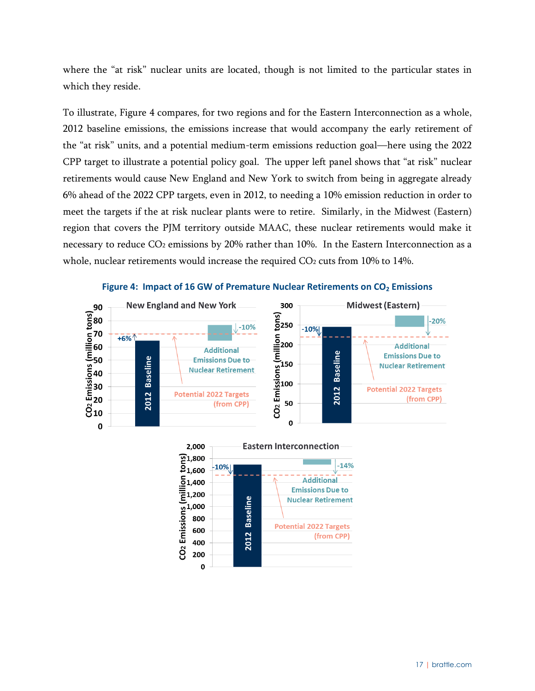where the "at risk" nuclear units are located, though is not limited to the particular states in which they reside.

To illustrate, [Figure 4](#page-19-0) compares, for two regions and for the Eastern Interconnection as a whole, 2012 baseline emissions, the emissions increase that would accompany the early retirement of the "at risk" units, and a potential medium-term emissions reduction goal—here using the 2022 CPP target to illustrate a potential policy goal. The upper left panel shows that "at risk" nuclear retirements would cause New England and New York to switch from being in aggregate already 6% ahead of the 2022 CPP targets, even in 2012, to needing a 10% emission reduction in order to meet the targets if the at risk nuclear plants were to retire. Similarly, in the Midwest (Eastern) region that covers the PJM territory outside MAAC, these nuclear retirements would make it necessary to reduce CO<sub>2</sub> emissions by 20% rather than 10%. In the Eastern Interconnection as a whole, nuclear retirements would increase the required CO<sub>2</sub> cuts from 10% to 14%.

<span id="page-19-0"></span>

**Figure 4: Impact of 16 GW of Premature Nuclear Retirements on CO<sub>2</sub> Emissions** 

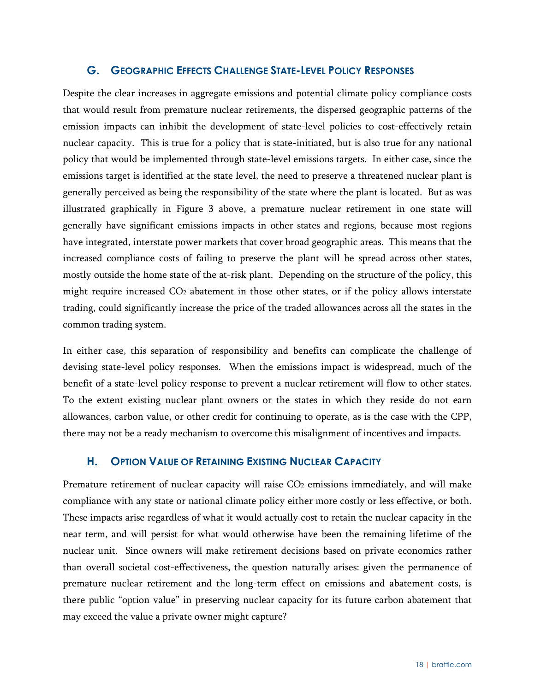#### <span id="page-20-0"></span>**G. GEOGRAPHIC EFFECTS CHALLENGE STATE-LEVEL POLICY RESPONSES**

Despite the clear increases in aggregate emissions and potential climate policy compliance costs that would result from premature nuclear retirements, the dispersed geographic patterns of the emission impacts can inhibit the development of state-level policies to cost-effectively retain nuclear capacity. This is true for a policy that is state-initiated, but is also true for any national policy that would be implemented through state-level emissions targets. In either case, since the emissions target is identified at the state level, the need to preserve a threatened nuclear plant is generally perceived as being the responsibility of the state where the plant is located. But as was illustrated graphically in Figure 3 above, a premature nuclear retirement in one state will generally have significant emissions impacts in other states and regions, because most regions have integrated, interstate power markets that cover broad geographic areas. This means that the increased compliance costs of failing to preserve the plant will be spread across other states, mostly outside the home state of the at-risk plant. Depending on the structure of the policy, this might require increased CO2 abatement in those other states, or if the policy allows interstate trading, could significantly increase the price of the traded allowances across all the states in the common trading system.

In either case, this separation of responsibility and benefits can complicate the challenge of devising state-level policy responses. When the emissions impact is widespread, much of the benefit of a state-level policy response to prevent a nuclear retirement will flow to other states. To the extent existing nuclear plant owners or the states in which they reside do not earn allowances, carbon value, or other credit for continuing to operate, as is the case with the CPP, there may not be a ready mechanism to overcome this misalignment of incentives and impacts.

#### <span id="page-20-1"></span>**H. OPTION VALUE OF RETAINING EXISTING NUCLEAR CAPACITY**

Premature retirement of nuclear capacity will raise CO<sub>2</sub> emissions immediately, and will make compliance with any state or national climate policy either more costly or less effective, or both. These impacts arise regardless of what it would actually cost to retain the nuclear capacity in the near term, and will persist for what would otherwise have been the remaining lifetime of the nuclear unit. Since owners will make retirement decisions based on private economics rather than overall societal cost-effectiveness, the question naturally arises: given the permanence of premature nuclear retirement and the long-term effect on emissions and abatement costs, is there public "option value" in preserving nuclear capacity for its future carbon abatement that may exceed the value a private owner might capture?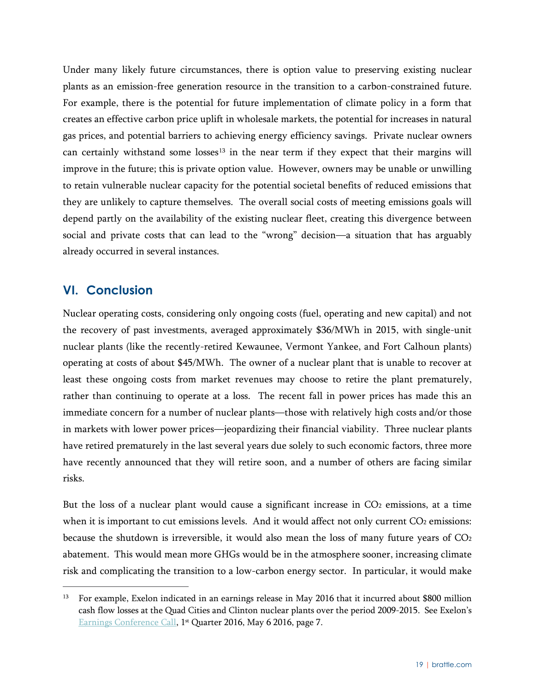Under many likely future circumstances, there is option value to preserving existing nuclear plants as an emission-free generation resource in the transition to a carbon-constrained future. For example, there is the potential for future implementation of climate policy in a form that creates an effective carbon price uplift in wholesale markets, the potential for increases in natural gas prices, and potential barriers to achieving energy efficiency savings. Private nuclear owners can certainly withstand some losses<sup>[13](#page-21-1)</sup> in the near term if they expect that their margins will improve in the future; this is private option value. However, owners may be unable or unwilling to retain vulnerable nuclear capacity for the potential societal benefits of reduced emissions that they are unlikely to capture themselves. The overall social costs of meeting emissions goals will depend partly on the availability of the existing nuclear fleet, creating this divergence between social and private costs that can lead to the "wrong" decision—a situation that has arguably already occurred in several instances.

#### <span id="page-21-0"></span>**VI. Conclusion**

Nuclear operating costs, considering only ongoing costs (fuel, operating and new capital) and not the recovery of past investments, averaged approximately \$36/MWh in 2015, with single-unit nuclear plants (like the recently-retired Kewaunee, Vermont Yankee, and Fort Calhoun plants) operating at costs of about \$45/MWh. The owner of a nuclear plant that is unable to recover at least these ongoing costs from market revenues may choose to retire the plant prematurely, rather than continuing to operate at a loss. The recent fall in power prices has made this an immediate concern for a number of nuclear plants—those with relatively high costs and/or those in markets with lower power prices—jeopardizing their financial viability. Three nuclear plants have retired prematurely in the last several years due solely to such economic factors, three more have recently announced that they will retire soon, and a number of others are facing similar risks.

But the loss of a nuclear plant would cause a significant increase in  $CO<sub>2</sub>$  emissions, at a time when it is important to cut emissions levels. And it would affect not only current CO2 emissions: because the shutdown is irreversible, it would also mean the loss of many future years of CO<sub>2</sub> abatement. This would mean more GHGs would be in the atmosphere sooner, increasing climate risk and complicating the transition to a low-carbon energy sector. In particular, it would make

<span id="page-21-1"></span><sup>&</sup>lt;sup>13</sup> For example, Exelon indicated in an earnings release in May 2016 that it incurred about \$800 million cash flow losses at the Quad Cities and Clinton nuclear plants over the period 2009-2015. See Exelon's [Earnings Conference Call,](http://www.exeloncorp.com/newsroom/events/Event%20Documents/Q1%202016%20Earnings%20Call%20Presentation.pdf) 1<sup>st</sup> Quarter 2016, May 6 2016, page 7.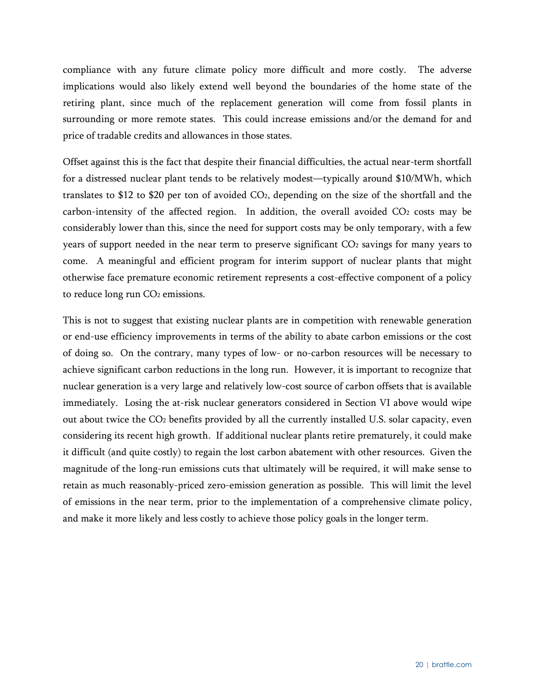compliance with any future climate policy more difficult and more costly. The adverse implications would also likely extend well beyond the boundaries of the home state of the retiring plant, since much of the replacement generation will come from fossil plants in surrounding or more remote states. This could increase emissions and/or the demand for and price of tradable credits and allowances in those states.

Offset against this is the fact that despite their financial difficulties, the actual near-term shortfall for a distressed nuclear plant tends to be relatively modest—typically around \$10/MWh, which translates to \$12 to \$20 per ton of avoided CO2, depending on the size of the shortfall and the carbon-intensity of the affected region. In addition, the overall avoided CO<sub>2</sub> costs may be considerably lower than this, since the need for support costs may be only temporary, with a few years of support needed in the near term to preserve significant CO2 savings for many years to come. A meaningful and efficient program for interim support of nuclear plants that might otherwise face premature economic retirement represents a cost-effective component of a policy to reduce long run CO<sub>2</sub> emissions.

This is not to suggest that existing nuclear plants are in competition with renewable generation or end-use efficiency improvements in terms of the ability to abate carbon emissions or the cost of doing so. On the contrary, many types of low- or no-carbon resources will be necessary to achieve significant carbon reductions in the long run. However, it is important to recognize that nuclear generation is a very large and relatively low-cost source of carbon offsets that is available immediately. Losing the at-risk nuclear generators considered in Section VI above would wipe out about twice the CO2 benefits provided by all the currently installed U.S. solar capacity, even considering its recent high growth. If additional nuclear plants retire prematurely, it could make it difficult (and quite costly) to regain the lost carbon abatement with other resources. Given the magnitude of the long-run emissions cuts that ultimately will be required, it will make sense to retain as much reasonably-priced zero-emission generation as possible. This will limit the level of emissions in the near term, prior to the implementation of a comprehensive climate policy, and make it more likely and less costly to achieve those policy goals in the longer term.